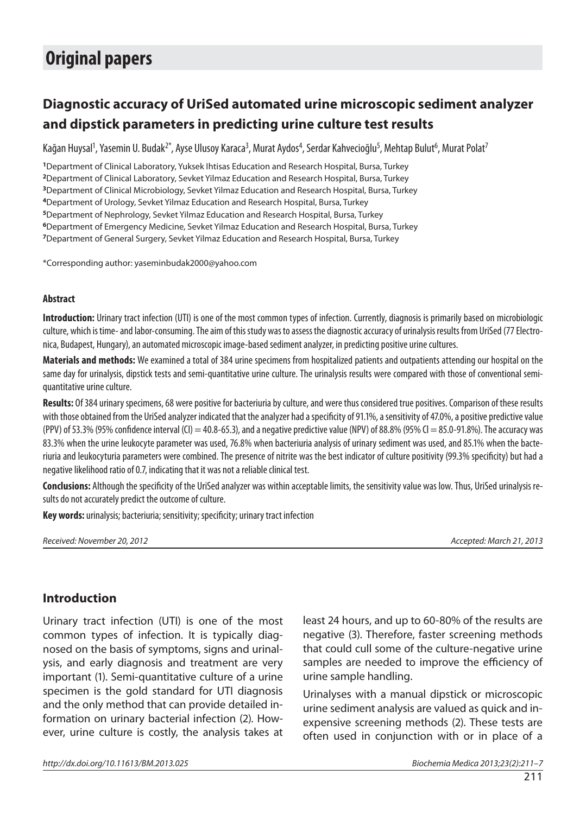# **Original papers**

## **Diagnostic accuracy of UriSed automated urine microscopic sediment analyzer and dipstick parameters in predicting urine culture test results**

Kağan Huysal<sup>1</sup>, Yasemin U. Budak<sup>2\*</sup>, Ayse Ulusoy Karaca<sup>3</sup>, Murat Aydos<sup>4</sup>, Serdar Kahvecioğlu<sup>5</sup>, Mehtap Bulut<sup>6</sup>, Murat Polat<sup>7</sup>

Department of Clinical Laboratory, Yuksek Ihtisas Education and Research Hospital, Bursa, Turkey Department of Clinical Laboratory, Sevket Yilmaz Education and Research Hospital, Bursa, Turkey Department of Clinical Microbiology, Sevket Yilmaz Education and Research Hospital, Bursa, Turkey Department of Urology, Sevket Yilmaz Education and Research Hospital, Bursa, Turkey Department of Nephrology, Sevket Yilmaz Education and Research Hospital, Bursa, Turkey Department of Emergency Medicine, Sevket Yilmaz Education and Research Hospital, Bursa, Turkey Department of General Surgery, Sevket Yilmaz Education and Research Hospital, Bursa, Turkey

\*Corresponding author: yaseminbudak2000@yahoo.com

#### **Abstract**

**Introduction:** Urinary tract infection (UTI) is one of the most common types of infection. Currently, diagnosis is primarily based on microbiologic culture, which is time- and labor-consuming. The aim of this study was to assess the diagnostic accuracy of urinalysis results from UriSed (77 Electronica, Budapest, Hungary), an automated microscopic image-based sediment analyzer, in predicting positive urine cultures.

**Materials and methods:** We examined a total of 384 urine specimens from hospitalized patients and outpatients attending our hospital on the same day for urinalysis, dipstick tests and semi-quantitative urine culture. The urinalysis results were compared with those of conventional semiquantitative urine culture.

**Results:** Of 384 urinary specimens, 68 were positive for bacteriuria by culture, and were thus considered true positives. Comparison of these results with those obtained from the UriSed analyzer indicated that the analyzer had a specificity of 91.1%, a sensitivity of 47.0%, a positive predictive value (PPV) of 53.3% (95% confidence interval (CI) = 40.8-65.3), and a negative predictive value (NPV) of 88.8% (95% Cl = 85.0-91.8%). The accuracy was 83.3% when the urine leukocyte parameter was used, 76.8% when bacteriuria analysis of urinary sediment was used, and 85.1% when the bacteriuria and leukocyturia parameters were combined. The presence of nitrite was the best indicator of culture positivity (99.3% specificity) but had a negative likelihood ratio of 0.7, indicating that it was not a reliable clinical test.

**Conclusions:** Although the specificity of the UriSed analyzer was within acceptable limits, the sensitivity value was low. Thus, UriSed urinalysis results do not accurately predict the outcome of culture.

**Key words:** urinalysis; bacteriuria; sensitivity; specificity; urinary tract infection

Received: November 20, 2012 Accepted: March 21, 2013

### **Introduction**

Urinary tract infection (UTI) is one of the most common types of infection. It is typically diagnosed on the basis of symptoms, signs and urinalysis, and early diagnosis and treatment are very important (1). Semi-quantitative culture of a urine specimen is the gold standard for UTI diagnosis and the only method that can provide detailed information on urinary bacterial infection (2). However, urine culture is costly, the analysis takes at

least 24 hours, and up to 60-80% of the results are negative (3). Therefore, faster screening methods that could cull some of the culture-negative urine samples are needed to improve the efficiency of urine sample handling.

Urinalyses with a manual dipstick or microscopic urine sediment analysis are valued as quick and inexpensive screening methods (2). These tests are often used in conjunction with or in place of a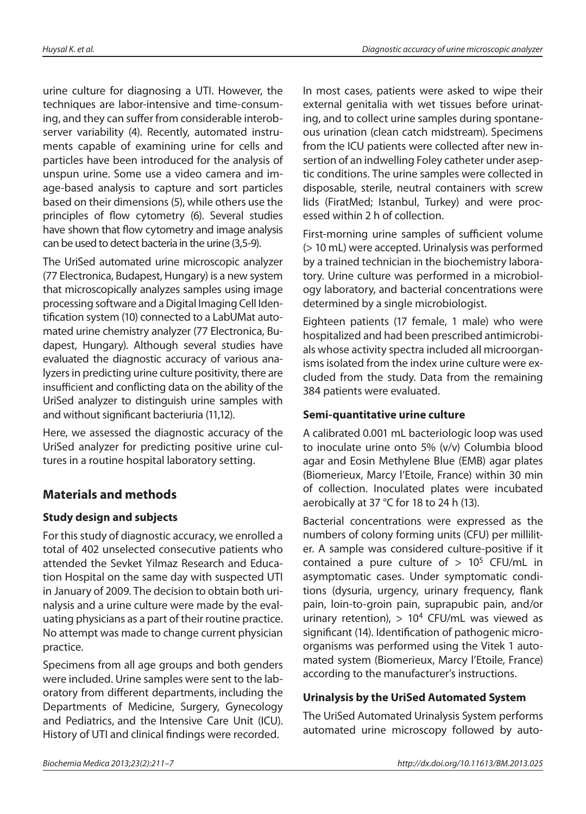urine culture for diagnosing a UTI. However, the techniques are labor-intensive and time-consuming, and they can suffer from considerable interobserver variability (4). Recently, automated instruments capable of examining urine for cells and particles have been introduced for the analysis of unspun urine. Some use a video camera and image-based analysis to capture and sort particles based on their dimensions (5), while others use the principles of flow cytometry (6). Several studies have shown that flow cytometry and image analysis can be used to detect bacteria in the urine (3.5-9).

The UriSed automated urine microscopic analyzer (77 Electronica, Budapest, Hungary) is a new system that microscopically analyzes samples using image processing software and a Digital Imaging Cell Identification system (10) connected to a LabUMat automated urine chemistry analyzer (77 Electronica, Budapest, Hungary). Although several studies have evaluated the diagnostic accuracy of various analyzers in predicting urine culture positivity, there are insufficient and conflicting data on the ability of the UriSed analyzer to distinguish urine samples with and without significant bacteriuria (11,12).

Here, we assessed the diagnostic accuracy of the UriSed analyzer for predicting positive urine cultures in a routine hospital laboratory setting.

## **Materials and methods**

### **Study design and subjects**

For this study of diagnostic accuracy, we enrolled a total of 402 unselected consecutive patients who attended the Sevket Yilmaz Research and Education Hospital on the same day with suspected UTI in January of 2009. The decision to obtain both urinalysis and a urine culture were made by the evaluating physicians as a part of their routine practice. No attempt was made to change current physician practice.

Specimens from all age groups and both genders were included. Urine samples were sent to the laboratory from different departments, including the Departments of Medicine, Surgery, Gynecology and Pediatrics, and the Intensive Care Unit (ICU). History of UTI and clinical findings were recorded.

In most cases, patients were asked to wipe their external genitalia with wet tissues before urinating, and to collect urine samples during spontaneous urination (clean catch midstream). Specimens from the ICU patients were collected after new insertion of an indwelling Foley catheter under aseptic conditions. The urine samples were collected in disposable, sterile, neutral containers with screw lids (FiratMed; Istanbul, Turkey) and were processed within 2 h of collection.

First-morning urine samples of sufficient volume (> 10 mL) were accepted. Urinalysis was performed by a trained technician in the biochemistry laboratory. Urine culture was performed in a microbiology laboratory, and bacterial concentrations were determined by a single microbiologist.

Eighteen patients (17 female, 1 male) who were hospitalized and had been prescribed antimicrobials whose activity spectra included all microorganisms isolated from the index urine culture were excluded from the study. Data from the remaining 384 patients were evaluated.

### **Semi-quantitative urine culture**

A calibrated 0.001 mL bacteriologic loop was used to inoculate urine onto 5% (v/v) Columbia blood agar and Eosin Methylene Blue (EMB) agar plates (Biomerieux, Marcy l'Etoile, France) within 30 min of collection. Inoculated plates were incubated aerobically at 37 °C for 18 to 24 h (13).

Bacterial concentrations were expressed as the numbers of colony forming units (CFU) per milliliter. A sample was considered culture-positive if it contained a pure culture of  $> 10^5$  CFU/mL in asymptomatic cases. Under symptomatic conditions (dysuria, urgency, urinary frequency, flank pain, loin-to-groin pain, suprapubic pain, and/or urinary retention),  $> 10<sup>4</sup>$  CFU/mL was viewed as significant (14). Identification of pathogenic microorganisms was performed using the Vitek 1 automated system (Biomerieux, Marcy l'Etoile, France) according to the manufacturer's instructions.

### **Urinalysis by the UriSed Automated System**

The UriSed Automated Urinalysis System performs automated urine microscopy followed by auto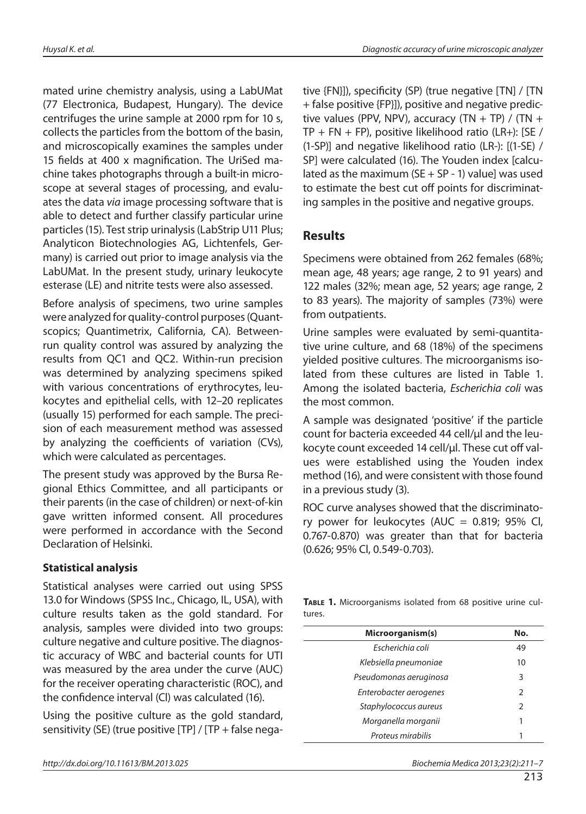mated urine chemistry analysis, using a LabUMat (77 Electronica, Budapest, Hungary). The device centrifuges the urine sample at 2000 rpm for 10 s, collects the particles from the bottom of the basin, and microscopically examines the samples under 15 fields at 400 x magnification. The UriSed machine takes photographs through a built-in microscope at several stages of processing, and evaluates the data via image processing software that is able to detect and further classify particular urine particles(15). Test strip urinalysis (LabStrip U11 Plus; Analyticon Biotechnologies AG, Lichtenfels, Germany) is carried out prior to image analysis via the LabUMat. In the present study, urinary leukocyte esterase (LE) and nitrite tests were also assessed.

Before analysis of specimens, two urine samples were analyzed for quality-control purposes (Quantscopics; Quantimetrix, California, CA). Betweenrun quality control was assured by analyzing the results from QC1 and QC2. Within-run precision was determined by analyzing specimens spiked with various concentrations of erythrocytes, leukocytes and epithelial cells, with 12–20 replicates (usually 15) performed for each sample. The precision of each measurement method was assessed by analyzing the coefficients of variation (CVs), which were calculated as percentages.

The present study was approved by the Bursa Regional Ethics Committee, and all participants or their parents (in the case of children) or next-of-kin gave written informed consent. All procedures were performed in accordance with the Second Declaration of Helsinki.

### **Statistical analysis**

Statistical analyses were carried out using SPSS 13.0 for Windows (SPSS Inc., Chicago, IL, USA), with culture results taken as the gold standard. For analysis, samples were divided into two groups: culture negative and culture positive. The diagnostic accuracy of WBC and bacterial counts for UTI was measured by the area under the curve (AUC) for the receiver operating characteristic (ROC), and the confidence interval (CI) was calculated (16).

Using the positive culture as the gold standard, sensitivity (SE) (true positive [TP] / [TP + false nega-

http://dx.doi.org/10.11613/BM.2013.025 Biochemia Medica 2013;23(2):211–7

tive {FN}]), specificity (SP) (true negative [TN] / [TN + false positive {FP}]), positive and negative predictive values (PPV, NPV), accuracy (TN + TP) / (TN +  $TP + FN + FP$ ), positive likelihood ratio (LR+): [SE / (1-SP)] and negative likelihood ratio (LR-): [(1-SE) / SP] were calculated (16). The Youden index [calculated as the maximum ( $SE + SP - 1$ ) value] was used to estimate the best cut off points for discriminating samples in the positive and negative groups.

### **Results**

Specimens were obtained from 262 females (68%; mean age, 48 years; age range, 2 to 91 years) and 122 males (32%; mean age, 52 years; age range, 2 to 83 years). The majority of samples (73%) were from outpatients.

Urine samples were evaluated by semi-quantitative urine culture, and 68 (18%) of the specimens yielded positive cultures. The microorganisms isolated from these cultures are listed in Table 1. Among the isolated bacteria, Escherichia coli was the most common.

A sample was designated 'positive' if the particle count for bacteria exceeded 44 cell/µl and the leukocyte count exceeded 14 cell/µl. These cut off values were established using the Youden index method (16), and were consistent with those found in a previous study (3).

ROC curve analyses showed that the discriminatory power for leukocytes (AUC =  $0.819$ ; 95% Cl, 0.767-0.870) was greater than that for bacteria (0.626; 95% Cl, 0.549-0.703).

**TABLE 1.** Microorganisms isolated from 68 positive urine cultures.

| Microorganism(s)       | No.           |  |
|------------------------|---------------|--|
| Escherichia coli       | 49            |  |
| Klebsiella pneumoniae  | 10            |  |
| Pseudomonas aeruginosa | 3             |  |
| Enterobacter aerogenes | $\mathcal{L}$ |  |
| Staphylococcus aureus  | $\mathcal{P}$ |  |
| Morganella morganii    |               |  |
| Proteus mirabilis      |               |  |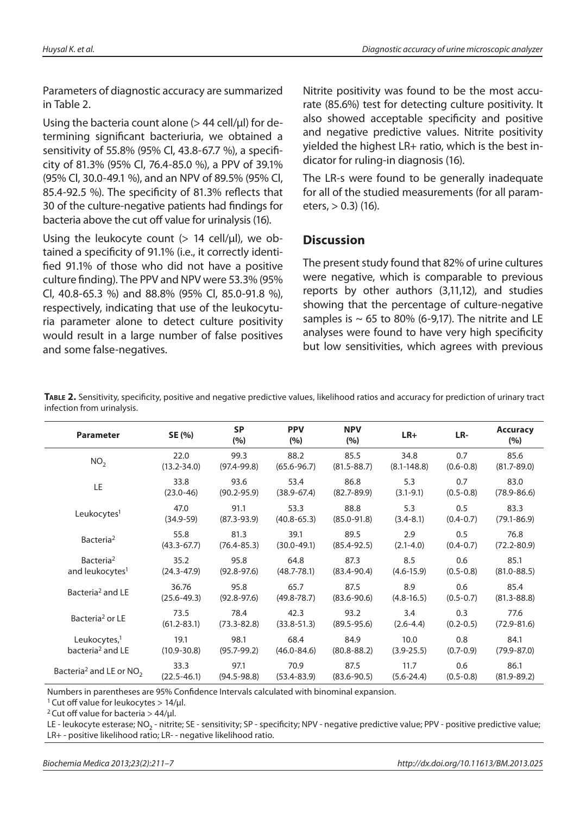Parameters of diagnostic accuracy are summarized in Table 2.

Using the bacteria count alone  $(> 44$  cell/ $\mu$ l) for determining significant bacteriuria, we obtained a sensitivity of 55.8% (95% Cl, 43.8-67.7 %), a specificity of 81.3% (95% Cl, 76.4-85.0 %), a PPV of 39.1% (95% Cl, 30.0-49.1 %), and an NPV of 89.5% (95% Cl, 85.4-92.5 %). The specificity of 81.3% reflects that 30 of the culture-negative patients had findings for bacteria above the cut off value for urinalysis (16).

Using the leukocyte count  $(> 14$  cell/µl), we obtained a specificity of 91.1% (i.e., it correctly identified 91.1% of those who did not have a positive culture finding). The PPV and NPV were 53.3% (95% Cl, 40.8-65.3 %) and 88.8% (95% Cl, 85.0-91.8 %), respectively, indicating that use of the leukocyturia parameter alone to detect culture positivity would result in a large number of false positives and some false-negatives.

Nitrite positivity was found to be the most accurate (85.6%) test for detecting culture positivity. It also showed acceptable specificity and positive and negative predictive values. Nitrite positivity yielded the highest LR+ ratio, which is the best indicator for ruling-in diagnosis (16).

The LR-s were found to be generally inadequate for all of the studied measurements (for all parameters, > 0.3) (16).

## **Discussion**

The present study found that 82% of urine cultures were negative, which is comparable to previous reports by other authors (3,11,12), and studies showing that the percentage of culture-negative samples is  $\sim$  65 to 80% (6-9,17). The nitrite and LE analyses were found to have very high specificity but low sensitivities, which agrees with previous

| <b>Parameter</b>                      | SE (%)          | <b>SP</b><br>(%) | <b>PPV</b><br>(%) | <b>NPV</b><br>(%) | $LR+$           | LR-           | <b>Accuracy</b><br>(%) |
|---------------------------------------|-----------------|------------------|-------------------|-------------------|-----------------|---------------|------------------------|
| NO <sub>2</sub>                       | 22.0            | 99.3             | 88.2              | 85.5              | 34.8            | 0.7           | 85.6                   |
|                                       | $(13.2 - 34.0)$ | $(97.4 - 99.8)$  | $(65.6 - 96.7)$   | $(81.5 - 88.7)$   | $(8.1 - 148.8)$ | $(0.6 - 0.8)$ | $(81.7 - 89.0)$        |
| LE                                    | 33.8            | 93.6             | 53.4              | 86.8              | 5.3             | 0.7           | 83.0                   |
|                                       | $(23.0 - 46)$   | $(90.2 - 95.9)$  | $(38.9 - 67.4)$   | $(82.7 - 89.9)$   | $(3.1 - 9.1)$   | $(0.5 - 0.8)$ | $(78.9 - 86.6)$        |
| Leukocytes <sup>1</sup>               | 47.0            | 91.1             | 53.3              | 88.8              | 5.3             | 0.5           | 83.3                   |
|                                       | $(34.9 - 59)$   | $(87.3 - 93.9)$  | $(40.8 - 65.3)$   | $(85.0 - 91.8)$   | $(3.4 - 8.1)$   | $(0.4 - 0.7)$ | $(79.1 - 86.9)$        |
| Bacteria <sup>2</sup>                 | 55.8            | 81.3             | 39.1              | 89.5              | 2.9             | 0.5           | 76.8                   |
|                                       | $(43.3 - 67.7)$ | $(76.4 - 85.3)$  | $(30.0 - 49.1)$   | $(85.4 - 92.5)$   | $(2.1 - 4.0)$   | $(0.4 - 0.7)$ | $(72.2 - 80.9)$        |
| Bacteria <sup>2</sup>                 | 35.2            | 95.8             | 64.8              | 87.3              | 8.5             | 0.6           | 85.1                   |
| and leukocytes <sup>1</sup>           | $(24.3 - 47.9)$ | $(92.8 - 97.6)$  | $(48.7 - 78.1)$   | $(83.4 - 90.4)$   | $(4.6 - 15.9)$  | $(0.5 - 0.8)$ | $(81.0 - 88.5)$        |
| Bacteria <sup>2</sup> and LE          | 36.76           | 95.8             | 65.7              | 87.5              | 8.9             | 0.6           | 85.4                   |
|                                       | $(25.6 - 49.3)$ | $(92.8 - 97.6)$  | $(49.8 - 78.7)$   | $(83.6 - 90.6)$   | $(4.8 - 16.5)$  | $(0.5 - 0.7)$ | $(81.3 - 88.8)$        |
| Bacteria <sup>2</sup> or LE           | 73.5            | 78.4             | 42.3              | 93.2              | 3.4             | 0.3           | 77.6                   |
|                                       | $(61.2 - 83.1)$ | $(73.3 - 82.8)$  | $(33.8 - 51.3)$   | $(89.5 - 95.6)$   | $(2.6 - 4.4)$   | $(0.2 - 0.5)$ | $(72.9 - 81.6)$        |
| Leukocytes, <sup>1</sup>              | 19.1            | 98.1             | 68.4              | 84.9              | 10.0            | 0.8           | 84.1                   |
| bacteria <sup>2</sup> and LE          | $(10.9 - 30.8)$ | $(95.7 - 99.2)$  | $(46.0 - 84.6)$   | $(80.8 - 88.2)$   | $(3.9 - 25.5)$  | $(0.7 - 0.9)$ | $(79.9 - 87.0)$        |
| Bacteria <sup>2</sup> and LE or $NO2$ | 33.3            | 97.1             | 70.9              | 87.5              | 11.7            | 0.6           | 86.1                   |
|                                       | $(22.5 - 46.1)$ | $(94.5 - 98.8)$  | $(53.4 - 83.9)$   | $(83.6 - 90.5)$   | $(5.6 - 24.4)$  | $(0.5 - 0.8)$ | $(81.9 - 89.2)$        |

TABLE 2. Sensitivity, specificity, positive and negative predictive values, likelihood ratios and accuracy for prediction of urinary tract infection from urinalysis.

Numbers in parentheses are 95% Confidence Intervals calculated with binominal expansion.

<sup>1</sup> Cut off value for leukocytes  $> 14/ \mu$ l.

<sup>2</sup> Cut off value for bacteria  $> 44$ /µl.

LE - leukocyte esterase; NO<sub>2</sub> - nitrite; SE - sensitivity; SP - specificity; NPV - negative predictive value; PPV - positive predictive value; LR+ - positive likelihood ratio; LR- - negative likelihood ratio.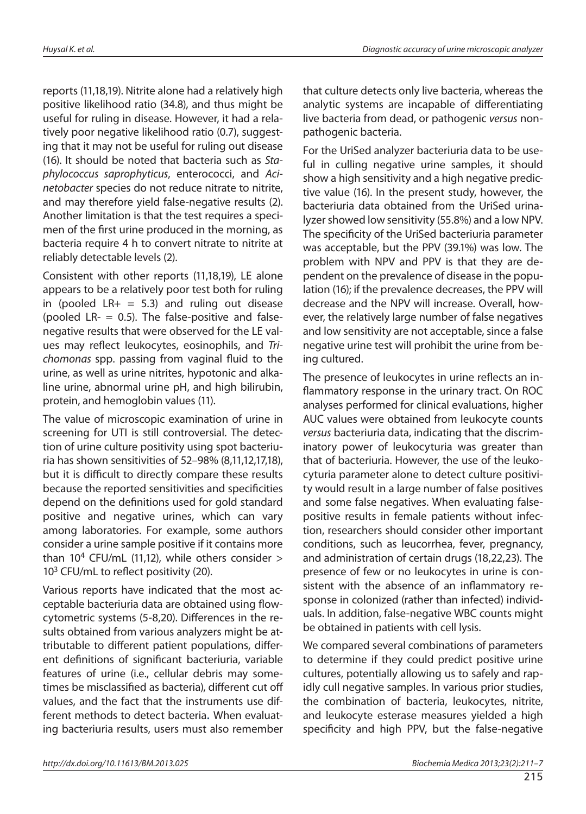reports (11,18,19). Nitrite alone had a relatively high positive likelihood ratio (34.8), and thus might be useful for ruling in disease. However, it had a relatively poor negative likelihood ratio (0.7), suggesting that it may not be useful for ruling out disease (16). It should be noted that bacteria such as Staphylococcus saprophyticus, enterococci, and Acinetobacter species do not reduce nitrate to nitrite, and may therefore yield false-negative results (2). Another limitation is that the test requires a specimen of the first urine produced in the morning, as bacteria require 4 h to convert nitrate to nitrite at reliably detectable levels (2).

Consistent with other reports (11,18,19), LE alone appears to be a relatively poor test both for ruling in (pooled  $LR+ = 5.3$ ) and ruling out disease (pooled LR-  $=$  0.5). The false-positive and falsenegative results that were observed for the LE values may reflect leukocytes, eosinophils, and Trichomonas spp. passing from vaginal fluid to the urine, as well as urine nitrites, hypotonic and alkaline urine, abnormal urine pH, and high bilirubin, protein, and hemoglobin values (11).

The value of microscopic examination of urine in screening for UTI is still controversial. The detection of urine culture positivity using spot bacteriuria has shown sensitivities of 52–98% (8,11,12,17,18), but it is difficult to directly compare these results because the reported sensitivities and specificities depend on the definitions used for gold standard positive and negative urines, which can vary among laboratories. For example, some authors consider a urine sample positive if it contains more than 10<sup>4</sup> CFU/mL (11,12), while others consider  $>$  $10<sup>3</sup>$  CFU/mL to reflect positivity (20).

Various reports have indicated that the most acceptable bacteriuria data are obtained using flowcytometric systems (5-8,20). Differences in the results obtained from various analyzers might be attributable to different patient populations, different definitions of significant bacteriuria, variable features of urine (i.e., cellular debris may sometimes be misclassified as bacteria), different cut off values, and the fact that the instruments use different methods to detect bacteria. When evaluating bacteriuria results, users must also remember that culture detects only live bacteria, whereas the analytic systems are incapable of differentiating live bacteria from dead, or pathogenic versus nonpathogenic bacteria.

For the UriSed analyzer bacteriuria data to be useful in culling negative urine samples, it should show a high sensitivity and a high negative predictive value (16). In the present study, however, the bacteriuria data obtained from the UriSed urinalyzer showed low sensitivity (55.8%) and a low NPV. The specificity of the UriSed bacteriuria parameter was acceptable, but the PPV (39.1%) was low. The problem with NPV and PPV is that they are dependent on the prevalence of disease in the population (16); if the prevalence decreases, the PPV will decrease and the NPV will increase. Overall, however, the relatively large number of false negatives and low sensitivity are not acceptable, since a false negative urine test will prohibit the urine from being cultured.

The presence of leukocytes in urine reflects an inflammatory response in the urinary tract. On ROC analyses performed for clinical evaluations, higher AUC values were obtained from leukocyte counts versus bacteriuria data, indicating that the discriminatory power of leukocyturia was greater than that of bacteriuria. However, the use of the leukocyturia parameter alone to detect culture positivity would result in a large number of false positives and some false negatives. When evaluating falsepositive results in female patients without infection, researchers should consider other important conditions, such as leucorrhea, fever, pregnancy, and administration of certain drugs (18,22,23). The presence of few or no leukocytes in urine is consistent with the absence of an inflammatory response in colonized (rather than infected) individuals. In addition, false-negative WBC counts might be obtained in patients with cell lysis.

We compared several combinations of parameters to determine if they could predict positive urine cultures, potentially allowing us to safely and rapidly cull negative samples. In various prior studies, the combination of bacteria, leukocytes, nitrite, and leukocyte esterase measures yielded a high specificity and high PPV, but the false-negative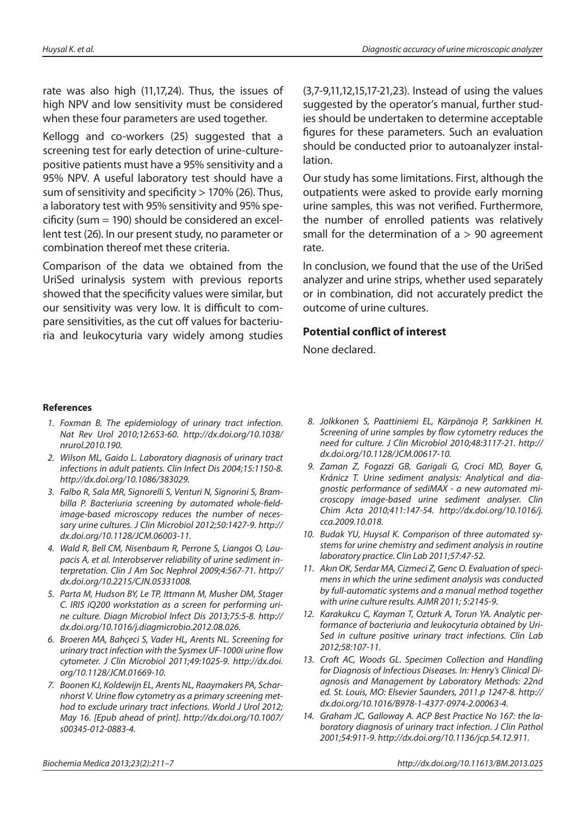rate was also high (11,17,24). Thus, the issues of high NPV and low sensitivity must be considered when these four parameters are used together.

Kellogg and co-workers (25) suggested that a screening test for early detection of urine-culturepositive patients must have a 95% sensitivity and a 95% NPV. A useful laboratory test should have a sum of sensitivity and specificity  $> 170\%$  (26). Thus, a laboratory test with 95% sensitivity and 95% specificity (sum  $= 190$ ) should be considered an excellent test (26). In our present study, no parameter or combination thereof met these criteria.

Comparison of the data we obtained from the UriSed urinalysis system with previous reports showed that the specificity values were similar, but our sensitivity was very low. It is difficult to compare sensitivities, as the cut off values for bacteriuria and leukocyturia vary widely among studies (3,7-9,11,12,15,17-21,23). Instead of using the values suggested by the operator's manual, further studies should be undertaken to determine acceptable figures for these parameters. Such an evaluation should be conducted prior to autoanalyzer installation.

Our study has some limitations. First, although the outpatients were asked to provide early morning urine samples, this was not verified. Furthermore, the number of enrolled patients was relatively small for the determination of  $a > 90$  agreement rate.

In conclusion, we found that the use of the UriSed analyzer and urine strips, whether used separately or in combination, did not accurately predict the outcome of urine cultures.

#### **Potential conflict of interest**

None declared.

#### **References**

- 1. Foxman B. The epidemiology of urinary tract infection. Nat Rev Urol 2010;12:653-60. http://dx.doi.org/10.1038/ nrurol.2010.190.
- 2. Wilson ML, Gaido L. Laboratory diagnosis of urinary tract infections in adult patients. Clin Infect Dis 2004;15:1150-8. http://dx.doi.org/10.1086/383029.
- 3. Falbo R, Sala MR, Signorelli S, Venturi N, Signorini S, Brambilla P. Bacteriuria screening by automated whole-fieldimage-based microscopy reduces the number of necessary urine cultures. J Clin Microbiol 2012;50:1427-9. http:// dx.doi.org/10.1128/JCM.06003-11.
- 4. Wald R, Bell CM, Nisenbaum R, Perrone S, Liangos O, Laupacis A, et al. Interobserver reliability of urine sediment interpretation. Clin J Am Soc Nephrol 2009;4:567-71. http:// dx.doi.org/10.2215/CJN.05331008.
- 5. Parta M, Hudson BY, Le TP, Ittmann M, Musher DM, Stager C. IRIS iQ200 workstation as a screen for performing urine culture. Diagn Microbiol Infect Dis 2013;75:5-8. http:// dx.doi.org/10.1016/j.diagmicrobio.2012.08.026.
- 6. Broeren MA, Bahçeci S, Vader HL, Arents NL. Screening for urinary tract infection with the Sysmex UF-1000i urine flow cytometer. J Clin Microbiol 2011;49:1025-9. http://dx.doi. org/10.1128/JCM.01669-10.
- 7. Boonen KJ, Koldewijn EL, Arents NL, Raaymakers PA, Scharnhorst V. Urine flow cytometry as a primary screening method to exclude urinary tract infections. World J Urol 2012; May 16. [Epub ahead of print]. http://dx.doi.org/10.1007/ s00345-012-0883-4.
- 8. Jolkkonen S, Paattiniemi EL, Kärpänoja P, Sarkkinen H. Screening of urine samples by flow cytometry reduces the need for culture. J Clin Microbiol 2010;48:3117-21. http:// dx.doi.org/10.1128/JCM.00617-10.
- 9. Zaman Z, Fogazzi GB, Garigali G, Croci MD, Bayer G, Kránicz T. Urine sediment analysis: Analytical and diagnostic performance of sediMAX - a new automated microscopy image-based urine sediment analyser. Clin Chim Acta 2010;411:147-54. http://dx.doi.org/10.1016/j. cca.2009.10.018.
- 10. Budak YU, Huysal K. Comparison of three automated systems for urine chemistry and sediment analysis in routine laboratory practice. Clin Lab 2011;57:47-52.
- 11. Akın OK, Serdar MA, Cizmeci Z, Genc O. Evaluation of specimens in which the urine sediment analysis was conducted by full-automatic systems and a manual method together with urine culture results. AJMR 2011; 5:2145-9.
- 12. Karakukcu C, Kayman T, Ozturk A, Torun YA. Analytic performance of bacteriuria and leukocyturia obtained by Uri-Sed in culture positive urinary tract infections. Clin Lab 2012;58:107-11.
- 13. Croft AC, Woods GL. Specimen Collection and Handling for Diagnosis of Infectious Diseases. In: Henry's Clinical Diagnosis and Management by Laboratory Methods: 22nd ed. St. Louis, MO: Elsevier Saunders, 2011.p 1247-8. http:// dx.doi.org/10.1016/B978-1-4377-0974-2.00063-4.
- 14. Graham JC, Galloway A. ACP Best Practice No 167: the laboratory diagnosis of urinary tract infection. J Clin Pathol 2001;54:911-9. http://dx.doi.org/10.1136/jcp.54.12.911.